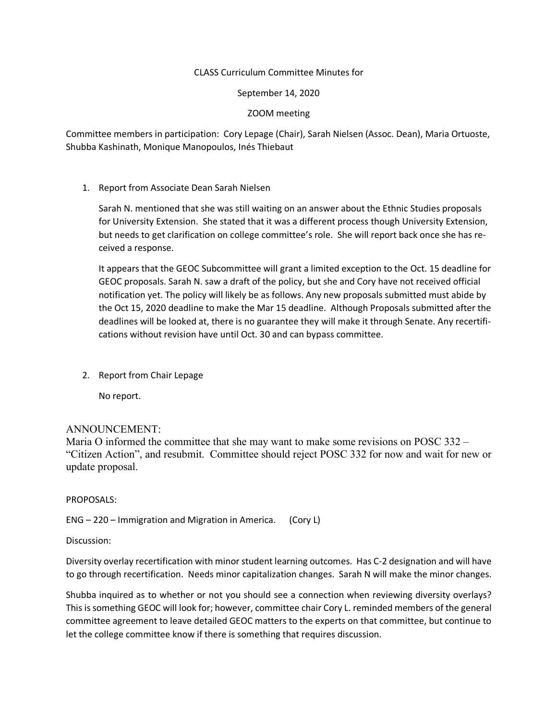## CLASS Curriculum Committee Minutes for

September 14, 2020

ZOOM meeting

Committee members in participation: Cory Lepage (Chair), Sarah Nielsen (Assoc. Dean), Maria Ortuoste, Shubba Kashinath, Monique Manopoulos, Inés Thiebaut

1. Report from Associate Dean Sarah Nielsen

Sarah N. mentioned that she was still waiting on an answer about the Ethnic Studies proposals for University Extension. She stated that it was a different process though University Extension, but needs to get clarification on college committee's role. She will report back once she has received a response.

It appears that the GEOC Subcommittee will grant a limited exception to the Oct. 15 deadline for GEOC proposals. Sarah N. saw a draft of the policy, but she and Cory have not received official notification yet. The policy will likely be as follows. Any new proposals submitted must abide by the Oct 15, 2020 deadline to make the Mar 15 deadline. Although Proposals submitted after the deadlines will be looked at, there is no guarantee they will make it through Senate. Any recertifications without revision have until Oct. 30 and can bypass committee.

2. Report from Chair Lepage

No report.

## ANNOUNCEMENT:

Maria O informed the committee that she may want to make some revisions on POSC 332 – "Citizen Action", and resubmit. Committee should reject POSC 332 for now and wait for new or update proposal.

PROPOSALS:

ENG – 220 – Immigration and Migration in America. (Cory L)

Discussion:

Diversity overlay recertification with minor student learning outcomes. Has C-2 designation and will have to go through recertification. Needs minor capitalization changes. Sarah N will make the minor changes.

Shubba inquired as to whether or not you should see a connection when reviewing diversity overlays? This is something GEOC will look for; however, committee chair Cory L. reminded members of the general committee agreement to leave detailed GEOC matters to the experts on that committee, but continue to let the college committee know if there is something that requires discussion.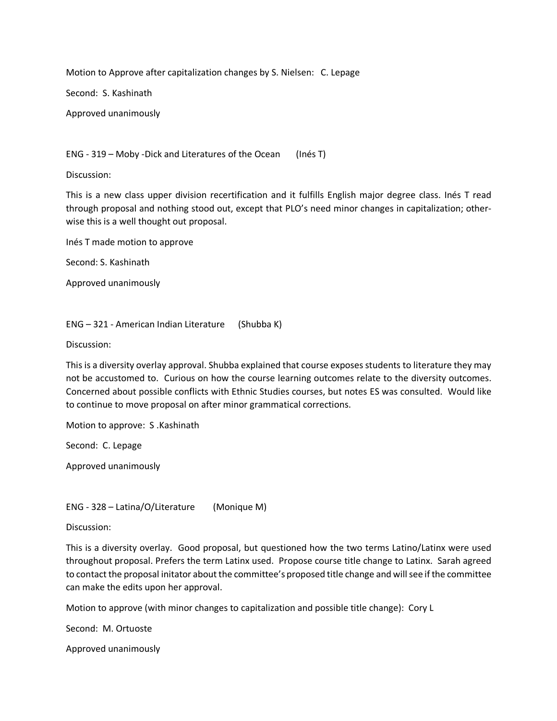Motion to Approve after capitalization changes by S. Nielsen: C. Lepage

Second: S. Kashinath

Approved unanimously

ENG - 319 – Moby -Dick and Literatures of the Ocean (Inés T)

Discussion:

This is a new class upper division recertification and it fulfills English major degree class. Inés T read through proposal and nothing stood out, except that PLO's need minor changes in capitalization; otherwise this is a well thought out proposal.

Inés T made motion to approve

Second: S. Kashinath

Approved unanimously

ENG – 321 - American Indian Literature (Shubba K)

Discussion:

This is a diversity overlay approval. Shubba explained that course exposes students to literature they may not be accustomed to. Curious on how the course learning outcomes relate to the diversity outcomes. Concerned about possible conflicts with Ethnic Studies courses, but notes ES was consulted. Would like to continue to move proposal on after minor grammatical corrections.

Motion to approve: S .Kashinath

Second: C. Lepage

Approved unanimously

ENG - 328 – Latina/O/Literature (Monique M)

Discussion:

This is a diversity overlay. Good proposal, but questioned how the two terms Latino/Latinx were used throughout proposal. Prefers the term Latinx used. Propose course title change to Latinx. Sarah agreed to contact the proposal initator about the committee's proposed title change and will see if the committee can make the edits upon her approval.

Motion to approve (with minor changes to capitalization and possible title change): Cory L

Second: M. Ortuoste

Approved unanimously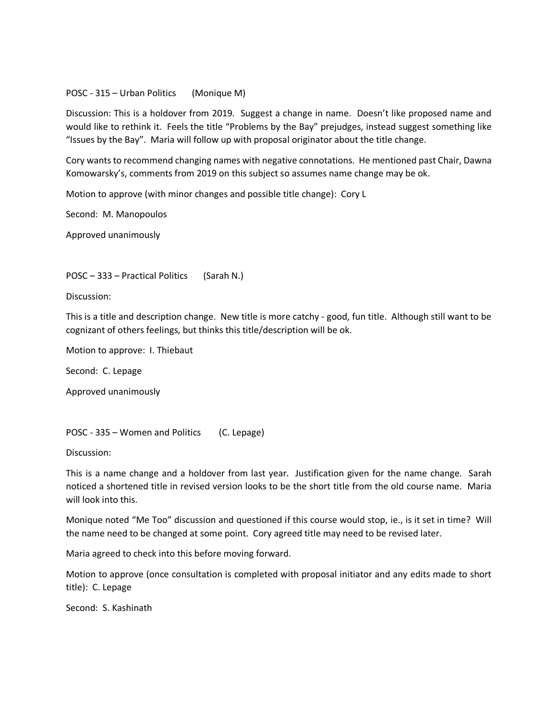## POSC - 315 – Urban Politics (Monique M)

Discussion: This is a holdover from 2019. Suggest a change in name. Doesn't like proposed name and would like to rethink it. Feels the title "Problems by the Bay" prejudges, instead suggest something like "Issues by the Bay". Maria will follow up with proposal originator about the title change.

Cory wants to recommend changing names with negative connotations. He mentioned past Chair, Dawna Komowarsky's, comments from 2019 on this subject so assumes name change may be ok.

Motion to approve (with minor changes and possible title change): Cory L

Second: M. Manopoulos

Approved unanimously

POSC – 333 – Practical Politics (Sarah N.)

Discussion:

This is a title and description change. New title is more catchy - good, fun title. Although still want to be cognizant of others feelings, but thinks this title/description will be ok.

Motion to approve: I. Thiebaut

Second: C. Lepage

Approved unanimously

POSC - 335 – Women and Politics (C. Lepage)

Discussion:

This is a name change and a holdover from last year. Justification given for the name change. Sarah noticed a shortened title in revised version looks to be the short title from the old course name. Maria will look into this.

Monique noted "Me Too" discussion and questioned if this course would stop, ie., is it set in time? Will the name need to be changed at some point. Cory agreed title may need to be revised later.

Maria agreed to check into this before moving forward.

Motion to approve (once consultation is completed with proposal initiator and any edits made to short title): C. Lepage

Second: S. Kashinath